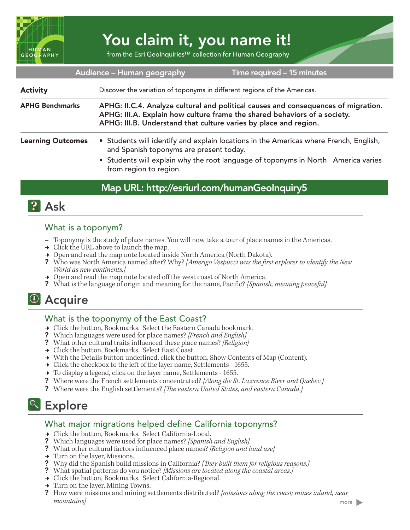

# You claim it, you name it!

from the Esri GeoInquiries™ collection for Human Geography

| Audience - Human geography<br>Time required - 15 minutes |                                                                                                                                                                                                                                                 |
|----------------------------------------------------------|-------------------------------------------------------------------------------------------------------------------------------------------------------------------------------------------------------------------------------------------------|
| <b>Activity</b>                                          | Discover the variation of toponyms in different regions of the Americas.                                                                                                                                                                        |
| <b>APHG Benchmarks</b>                                   | APHG: II.C.4. Analyze cultural and political causes and consequences of migration.<br>APHG: III.A. Explain how culture frame the shared behaviors of a society.<br>APHG: III.B. Understand that culture varies by place and region.             |
| <b>Learning Outcomes</b>                                 | • Students will identify and explain locations in the Americas where French, English,<br>and Spanish toponyms are present today.<br>• Students will explain why the root language of toponyms in North America varies<br>from region to region. |

## Map URL: http://esriurl.com/humanGeoInquiry5



## What is a toponym?

- **–** Toponymy is the study of place names. You will now take a tour of place names in the Americas.
- $\rightarrow$  Click the URL above to launch the map.
- → Open and read the map note located inside North America (North Dakota).
- ? Who was North America named after? Why? *[Amerigo Vespucci was the first explorer to identify the New World as new continents.]*
- $\rightarrow$  Open and read the map note located off the west coast of North America.
- ? What is the language of origin and meaning for the name, Pacific? *[Spanish, meaning peaceful]*

## <sup>4</sup> Acquire

## What is the toponymy of the East Coast?

- → Click the button, Bookmarks. Select the Eastern Canada bookmark.
- ? Which languages were used for place names? *[French and English]*
- ? What other cultural traits influenced these place names? *[Religion]*
- → Click the button, Bookmarks. Select East Coast.
- → With the Details button underlined, click the button, Show Contents of Map (Content).
- $\rightarrow$  Click the checkbox to the left of the layer name, Settlements 1655.
- $\rightarrow$  To display a legend, click on the layer name, Settlements 1655.
- ? Where were the French settlements concentrated? *[Along the St. Lawrence River and Quebec.]*
- ? Where were the English settlements? *[The eastern United States, and eastern Canada.]*

# <sup>o</sup> Explore

## What major migrations helped define California toponyms?

- ʅ Click the button, Bookmarks. Select California-Local.
- ? Which languages were used for place names? *[Spanish and English]*
- ? What other cultural factors influenced place names? *[Religion and land use]*
- ʅ Turn on the layer, Missions.
- ? Why did the Spanish build missions in California? *[They built them for religious reasons.]*
- ? What spatial patterns do you notice? *[Missions are located along the coastal areas.]*
- → Click the button, Bookmarks. Select California-Regional.
- $\rightarrow$  Turn on the layer, Mining Towns.
- ? How were missions and mining settlements distributed? *[missions along the coast; mines inland, near mountains]*